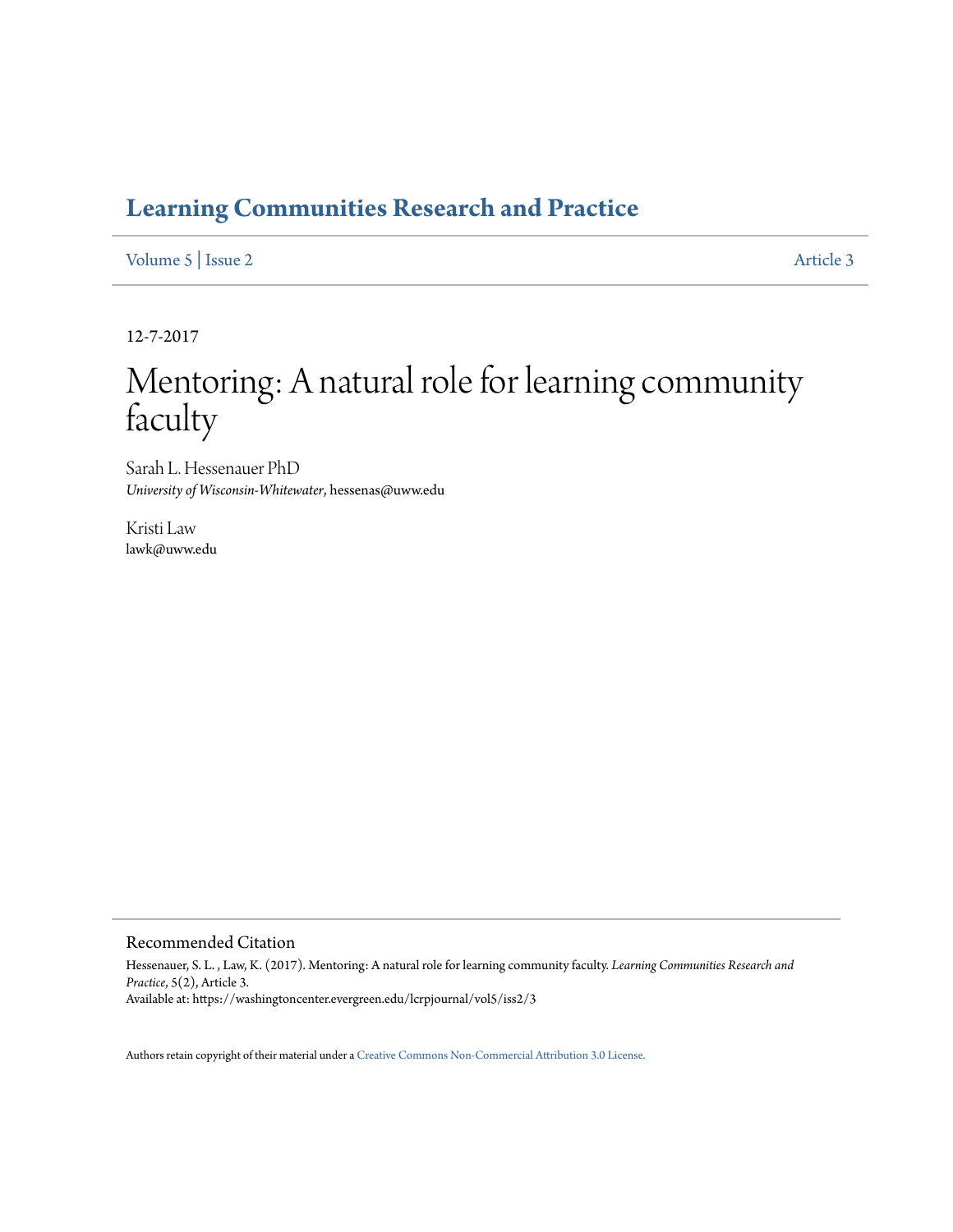### **[Learning Communities Research and Practice](https://washingtoncenter.evergreen.edu/lcrpjournal)**

[Volume 5](https://washingtoncenter.evergreen.edu/lcrpjournal/vol5) | [Issue 2](https://washingtoncenter.evergreen.edu/lcrpjournal/vol5/iss2) [Article 3](https://washingtoncenter.evergreen.edu/lcrpjournal/vol5/iss2/3)

12-7-2017

# Mentoring: A natural role for learning community faculty

Sarah L. Hessenauer PhD *University of Wisconsin-Whitewater*, hessenas@uww.edu

Kristi Law lawk@uww.edu

#### Recommended Citation

Hessenauer, S. L. , Law, K. (2017). Mentoring: A natural role for learning community faculty. *Learning Communities Research and Practice*, 5(2), Article 3. Available at: https://washingtoncenter.evergreen.edu/lcrpjournal/vol5/iss2/3

Authors retain copyright of their material under a [Creative Commons Non-Commercial Attribution 3.0 License.](http://creativecommons.org/licenses/by-nc/3.0/)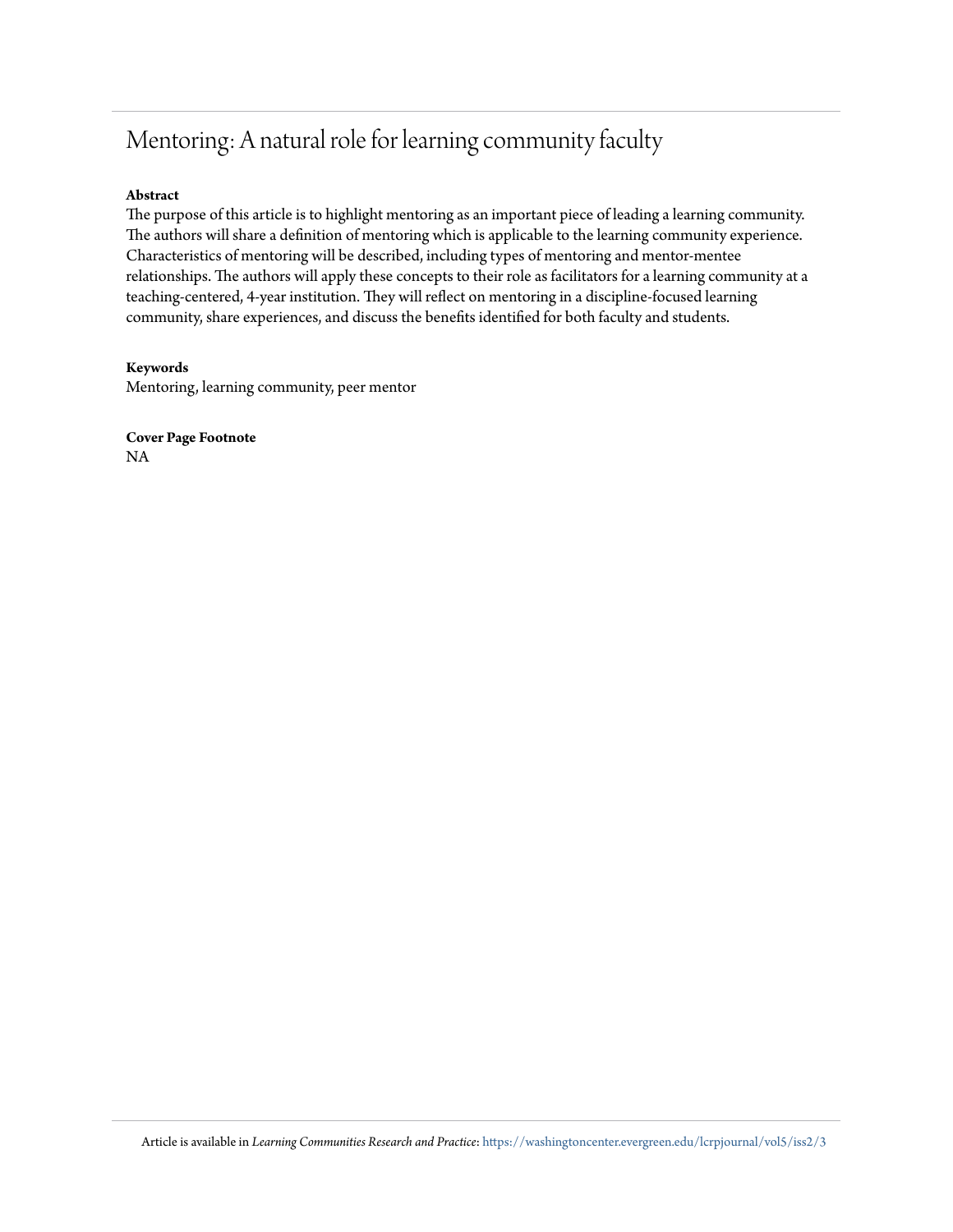## Mentoring: A natural role for learning community faculty

#### **Abstract**

The purpose of this article is to highlight mentoring as an important piece of leading a learning community. The authors will share a definition of mentoring which is applicable to the learning community experience. Characteristics of mentoring will be described, including types of mentoring and mentor-mentee relationships. The authors will apply these concepts to their role as facilitators for a learning community at a teaching-centered, 4-year institution. They will reflect on mentoring in a discipline-focused learning community, share experiences, and discuss the benefits identified for both faculty and students.

#### **Keywords**

Mentoring, learning community, peer mentor

**Cover Page Footnote** NA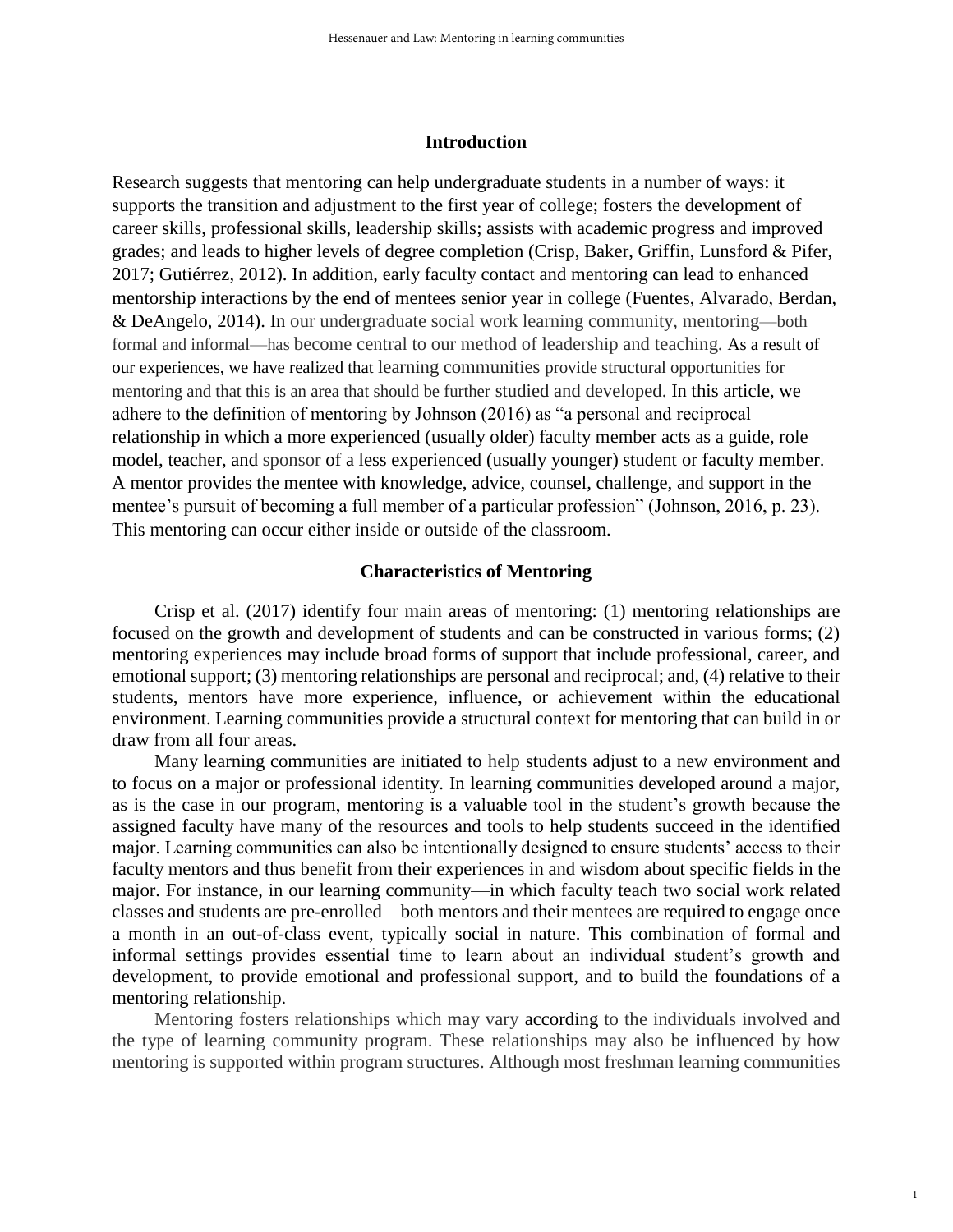#### **Introduction**

Research suggests that mentoring can help undergraduate students in a number of ways: it supports the transition and adjustment to the first year of college; fosters the development of career skills, professional skills, leadership skills; assists with academic progress and improved grades; and leads to higher levels of degree completion (Crisp, Baker, Griffin, Lunsford & Pifer, 2017; Gutiérrez, 2012). In addition, early faculty contact and mentoring can lead to enhanced mentorship interactions by the end of mentees senior year in college (Fuentes, Alvarado, Berdan, & DeAngelo, 2014). In our undergraduate social work learning community, mentoring—both formal and informal—has become central to our method of leadership and teaching. As a result of our experiences, we have realized that learning communities provide structural opportunities for mentoring and that this is an area that should be further studied and developed. In this article, we adhere to the definition of mentoring by Johnson (2016) as "a personal and reciprocal relationship in which a more experienced (usually older) faculty member acts as a guide, role model, teacher, and sponsor of a less experienced (usually younger) student or faculty member. A mentor provides the mentee with knowledge, advice, counsel, challenge, and support in the mentee's pursuit of becoming a full member of a particular profession" (Johnson, 2016, p. 23). This mentoring can occur either inside or outside of the classroom.

#### **Characteristics of Mentoring**

Crisp et al. (2017) identify four main areas of mentoring: (1) mentoring relationships are focused on the growth and development of students and can be constructed in various forms; (2) mentoring experiences may include broad forms of support that include professional, career, and emotional support; (3) mentoring relationships are personal and reciprocal; and, (4) relative to their students, mentors have more experience, influence, or achievement within the educational environment. Learning communities provide a structural context for mentoring that can build in or draw from all four areas.

Many learning communities are initiated to help students adjust to a new environment and to focus on a major or professional identity. In learning communities developed around a major, as is the case in our program, mentoring is a valuable tool in the student's growth because the assigned faculty have many of the resources and tools to help students succeed in the identified major. Learning communities can also be intentionally designed to ensure students' access to their faculty mentors and thus benefit from their experiences in and wisdom about specific fields in the major. For instance, in our learning community—in which faculty teach two social work related classes and students are pre-enrolled—both mentors and their mentees are required to engage once a month in an out-of-class event, typically social in nature. This combination of formal and informal settings provides essential time to learn about an individual student's growth and development, to provide emotional and professional support, and to build the foundations of a mentoring relationship.

Mentoring fosters relationships which may vary according to the individuals involved and the type of learning community program. These relationships may also be influenced by how mentoring is supported within program structures. Although most freshman learning communities

1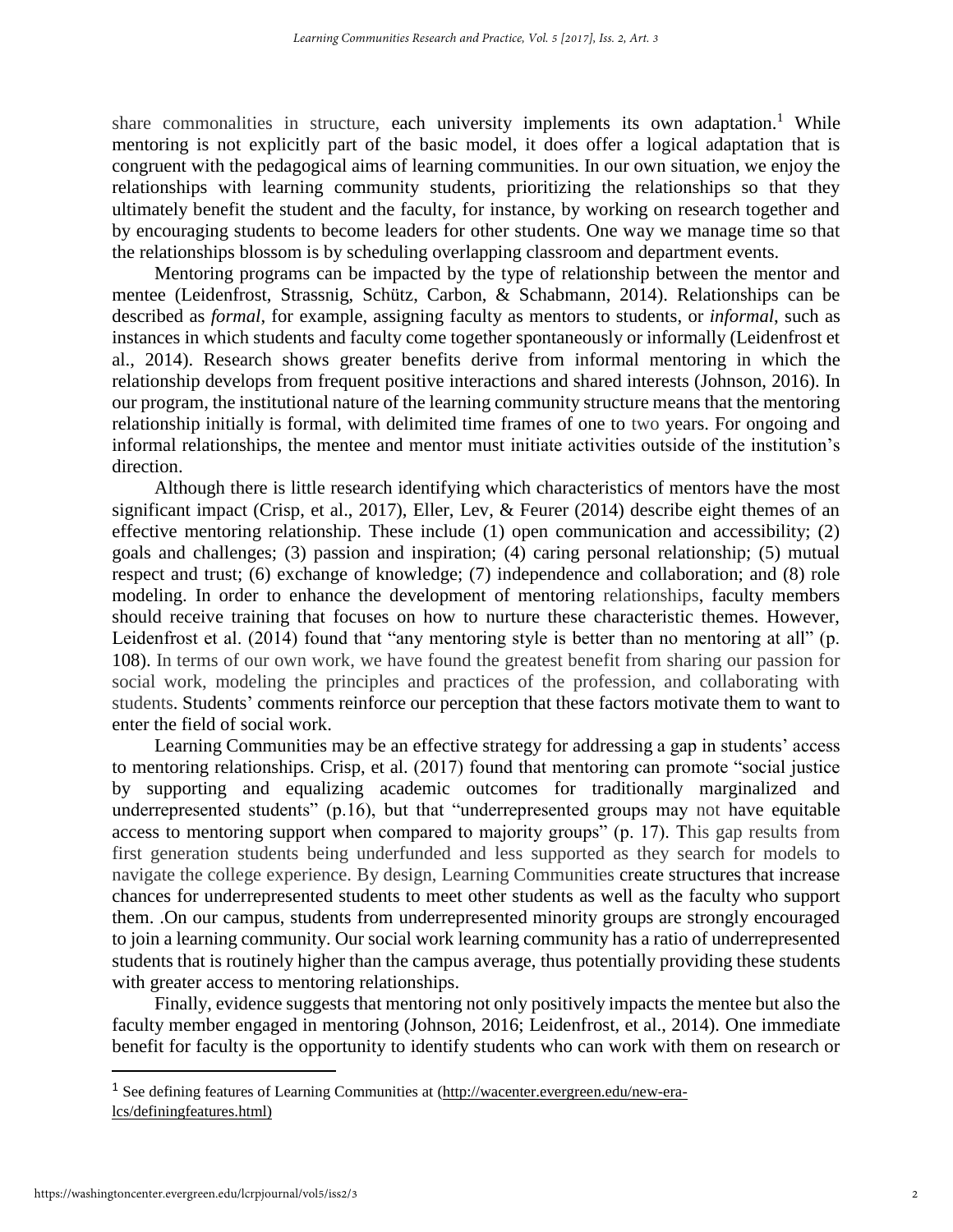share commonalities in structure, each university implements its own adaptation.<sup>1</sup> While mentoring is not explicitly part of the basic model, it does offer a logical adaptation that is congruent with the pedagogical aims of learning communities. In our own situation, we enjoy the relationships with learning community students, prioritizing the relationships so that they ultimately benefit the student and the faculty, for instance, by working on research together and by encouraging students to become leaders for other students. One way we manage time so that the relationships blossom is by scheduling overlapping classroom and department events.

Mentoring programs can be impacted by the type of relationship between the mentor and mentee (Leidenfrost, Strassnig, Schütz, Carbon, & Schabmann, 2014). Relationships can be described as *formal*, for example, assigning faculty as mentors to students, or *informal*, such as instances in which students and faculty come together spontaneously or informally (Leidenfrost et al., 2014). Research shows greater benefits derive from informal mentoring in which the relationship develops from frequent positive interactions and shared interests (Johnson, 2016). In our program, the institutional nature of the learning community structure means that the mentoring relationship initially is formal, with delimited time frames of one to two years. For ongoing and informal relationships, the mentee and mentor must initiate activities outside of the institution's direction.

Although there is little research identifying which characteristics of mentors have the most significant impact (Crisp, et al., 2017), Eller, Lev, & Feurer (2014) describe eight themes of an effective mentoring relationship. These include (1) open communication and accessibility; (2) goals and challenges; (3) passion and inspiration; (4) caring personal relationship; (5) mutual respect and trust; (6) exchange of knowledge; (7) independence and collaboration; and (8) role modeling. In order to enhance the development of mentoring relationships, faculty members should receive training that focuses on how to nurture these characteristic themes. However, Leidenfrost et al. (2014) found that "any mentoring style is better than no mentoring at all" (p. 108). In terms of our own work, we have found the greatest benefit from sharing our passion for social work, modeling the principles and practices of the profession, and collaborating with students. Students' comments reinforce our perception that these factors motivate them to want to enter the field of social work.

Learning Communities may be an effective strategy for addressing a gap in students' access to mentoring relationships. Crisp, et al. (2017) found that mentoring can promote "social justice by supporting and equalizing academic outcomes for traditionally marginalized and underrepresented students" (p.16), but that "underrepresented groups may not have equitable access to mentoring support when compared to majority groups" (p. 17). This gap results from first generation students being underfunded and less supported as they search for models to navigate the college experience. By design, Learning Communities create structures that increase chances for underrepresented students to meet other students as well as the faculty who support them. .On our campus, students from underrepresented minority groups are strongly encouraged to join a learning community. Our social work learning community has a ratio of underrepresented students that is routinely higher than the campus average, thus potentially providing these students with greater access to mentoring relationships.

Finally, evidence suggests that mentoring not only positively impacts the mentee but also the faculty member engaged in mentoring (Johnson, 2016; Leidenfrost, et al., 2014). One immediate benefit for faculty is the opportunity to identify students who can work with them on research or

 $\overline{\phantom{a}}$ 

<sup>1</sup> See defining features of Learning Communities at [\(http://wacenter.evergreen.edu/new-era](http://wacenter.evergreen.edu/new-era-lcs/definingfeatures.html))[lcs/definingfeatures.html\)](http://wacenter.evergreen.edu/new-era-lcs/definingfeatures.html))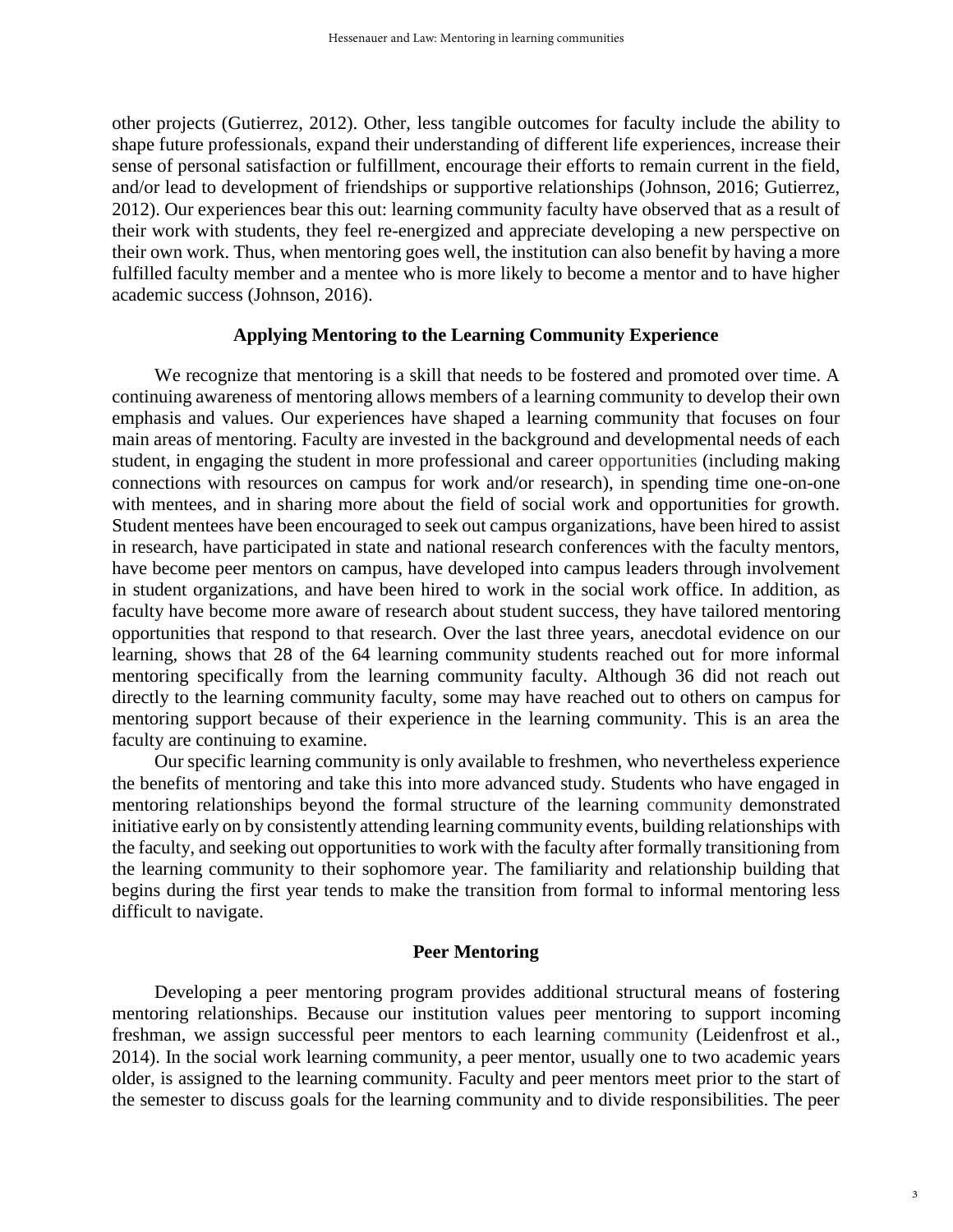other projects (Gutierrez, 2012). Other, less tangible outcomes for faculty include the ability to shape future professionals, expand their understanding of different life experiences, increase their sense of personal satisfaction or fulfillment, encourage their efforts to remain current in the field, and/or lead to development of friendships or supportive relationships (Johnson, 2016; Gutierrez, 2012). Our experiences bear this out: learning community faculty have observed that as a result of their work with students, they feel re-energized and appreciate developing a new perspective on their own work. Thus, when mentoring goes well, the institution can also benefit by having a more fulfilled faculty member and a mentee who is more likely to become a mentor and to have higher academic success (Johnson, 2016).

#### **Applying Mentoring to the Learning Community Experience**

We recognize that mentoring is a skill that needs to be fostered and promoted over time. A continuing awareness of mentoring allows members of a learning community to develop their own emphasis and values. Our experiences have shaped a learning community that focuses on four main areas of mentoring. Faculty are invested in the background and developmental needs of each student, in engaging the student in more professional and career opportunities (including making connections with resources on campus for work and/or research), in spending time one-on-one with mentees, and in sharing more about the field of social work and opportunities for growth. Student mentees have been encouraged to seek out campus organizations, have been hired to assist in research, have participated in state and national research conferences with the faculty mentors, have become peer mentors on campus, have developed into campus leaders through involvement in student organizations, and have been hired to work in the social work office. In addition, as faculty have become more aware of research about student success, they have tailored mentoring opportunities that respond to that research. Over the last three years, anecdotal evidence on our learning, shows that 28 of the 64 learning community students reached out for more informal mentoring specifically from the learning community faculty. Although 36 did not reach out directly to the learning community faculty, some may have reached out to others on campus for mentoring support because of their experience in the learning community. This is an area the faculty are continuing to examine.

Our specific learning community is only available to freshmen, who nevertheless experience the benefits of mentoring and take this into more advanced study. Students who have engaged in mentoring relationships beyond the formal structure of the learning community demonstrated initiative early on by consistently attending learning community events, building relationships with the faculty, and seeking out opportunities to work with the faculty after formally transitioning from the learning community to their sophomore year. The familiarity and relationship building that begins during the first year tends to make the transition from formal to informal mentoring less difficult to navigate.

#### **Peer Mentoring**

Developing a peer mentoring program provides additional structural means of fostering mentoring relationships. Because our institution values peer mentoring to support incoming freshman, we assign successful peer mentors to each learning community (Leidenfrost et al., 2014). In the social work learning community, a peer mentor, usually one to two academic years older, is assigned to the learning community. Faculty and peer mentors meet prior to the start of the semester to discuss goals for the learning community and to divide responsibilities. The peer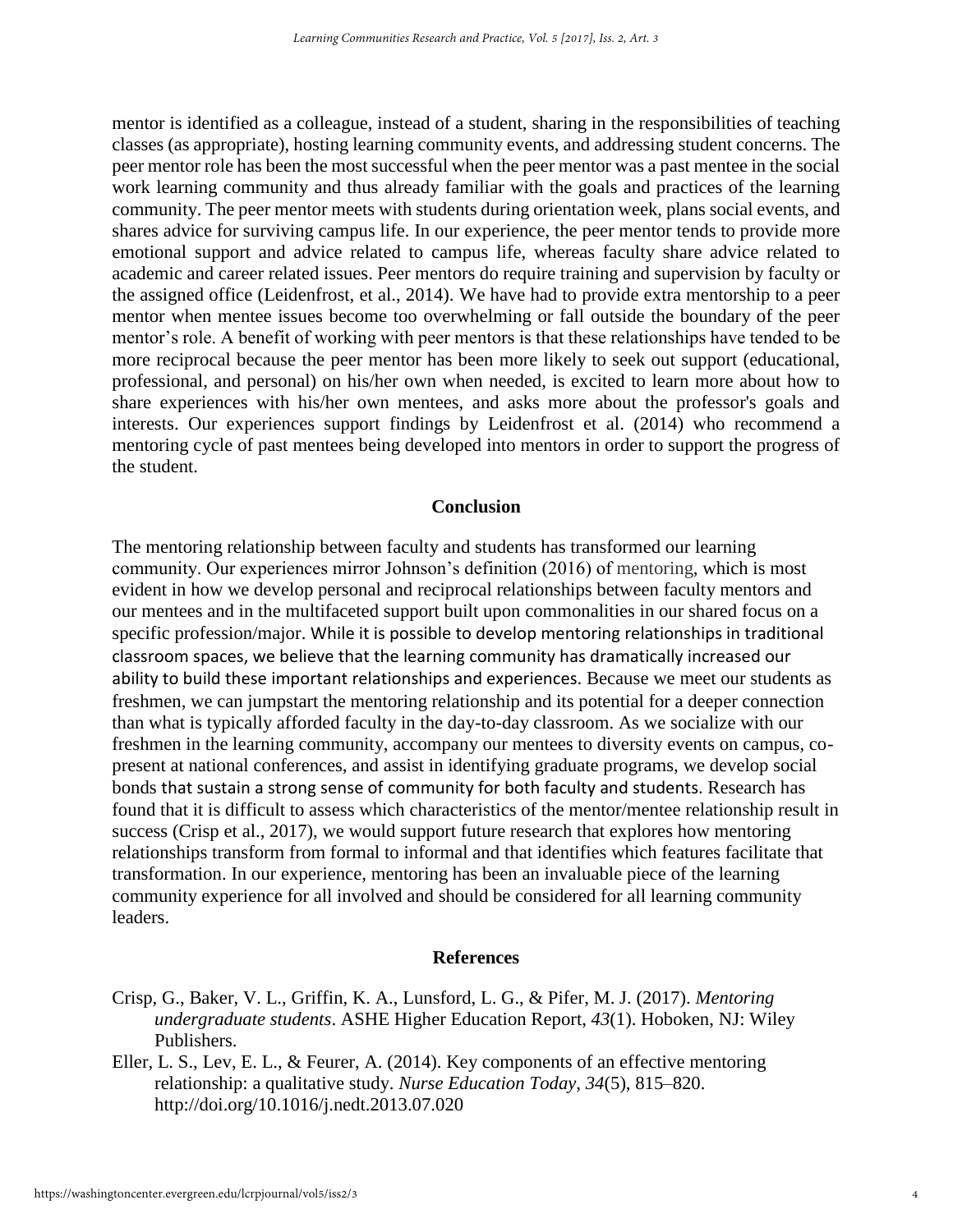mentor is identified as a colleague, instead of a student, sharing in the responsibilities of teaching classes (as appropriate), hosting learning community events, and addressing student concerns. The peer mentor role has been the most successful when the peer mentor was a past mentee in the social work learning community and thus already familiar with the goals and practices of the learning community. The peer mentor meets with students during orientation week, plans social events, and shares advice for surviving campus life. In our experience, the peer mentor tends to provide more emotional support and advice related to campus life, whereas faculty share advice related to academic and career related issues. Peer mentors do require training and supervision by faculty or the assigned office (Leidenfrost, et al., 2014). We have had to provide extra mentorship to a peer mentor when mentee issues become too overwhelming or fall outside the boundary of the peer mentor's role. A benefit of working with peer mentors is that these relationships have tended to be more reciprocal because the peer mentor has been more likely to seek out support (educational, professional, and personal) on his/her own when needed, is excited to learn more about how to share experiences with his/her own mentees, and asks more about the professor's goals and interests. Our experiences support findings by Leidenfrost et al. (2014) who recommend a mentoring cycle of past mentees being developed into mentors in order to support the progress of the student.

#### **Conclusion**

The mentoring relationship between faculty and students has transformed our learning community. Our experiences mirror Johnson's definition (2016) of mentoring, which is most evident in how we develop personal and reciprocal relationships between faculty mentors and our mentees and in the multifaceted support built upon commonalities in our shared focus on a specific profession/major. While it is possible to develop mentoring relationships in traditional classroom spaces, we believe that the learning community has dramatically increased our ability to build these important relationships and experiences. Because we meet our students as freshmen, we can jumpstart the mentoring relationship and its potential for a deeper connection than what is typically afforded faculty in the day-to-day classroom. As we socialize with our freshmen in the learning community, accompany our mentees to diversity events on campus, copresent at national conferences, and assist in identifying graduate programs, we develop social bonds that sustain a strong sense of community for both faculty and students. Research has found that it is difficult to assess which characteristics of the mentor/mentee relationship result in success (Crisp et al., 2017), we would support future research that explores how mentoring relationships transform from formal to informal and that identifies which features facilitate that transformation. In our experience, mentoring has been an invaluable piece of the learning community experience for all involved and should be considered for all learning community leaders.

#### **References**

- Crisp, G., Baker, V. L., Griffin, K. A., Lunsford, L. G., & Pifer, M. J. (2017). *Mentoring undergraduate students*. ASHE Higher Education Report, *43*(1). Hoboken, NJ: Wiley Publishers.
- Eller, L. S., Lev, E. L., & Feurer, A. (2014). Key components of an effective mentoring relationship: a qualitative study. *Nurse Education Today*, *34*(5), 815–820. http://doi.org/10.1016/j.nedt.2013.07.020